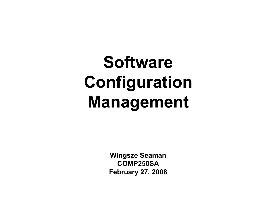# Software Configuration Management

Wingsze SeamanCOMP250SAFebruary 27, 2008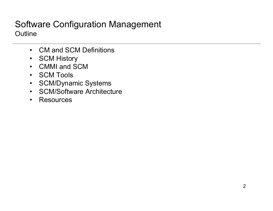#### Software Configuration Management**Outline**

- CM and SCM Definitions
- SCM History
- CMMI and SCM
- SCM Tools
- SCM/Dynamic Systems<br>• SCM/Seftuses Architect
- SCM/Software Architecture
- Resources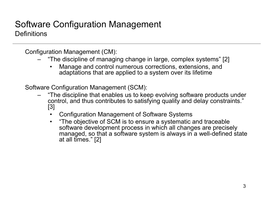#### Software Configuration Management**Definitions**

Configuration Management (CM):

- "The discipline of managing change in large, complex systems" [2]
	- • Manage and control numerous corrections, extensions, and adaptations that are applied to a system over its lifetime

Software Configuration Management (SCM):

- "The discipline that enables us to keep evolving software products under control, and thus contributes to satisfying quality and delay constraints." [3]
	- •Configuration Management of Software Systems
	- • "The objective of SCM is to ensure a systematic and traceable software development process in which all changes are precisely managed, so that a software system is always in a well-defined state at all times." [2]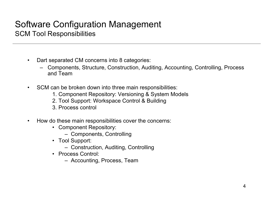#### Software Configuration ManagementSCM Tool Responsibilities

- • Dart separated CM concerns into 8 categories:
	- Components, Structure, Construction, Auditing, Accounting, Controlling, Process and Team
- $\bullet$  SCM can be broken down into three main responsibilities:
	- 1. Component Repository: Versioning & System Models
	- 2. Tool Support: Workspace Control & Building
	- 3. Process control
- • How do these main responsibilities cover the concerns:
	- Component Repository:
		- Components, Controlling
	- Tool Support:
		- Construction, Auditing, Controlling
	- Process Control:
		- Accounting, Process, Team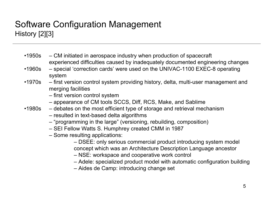### Software Configuration ManagementHistory [2][3]

- •1950s CM initiated in aerospace industry when production of spacecraft experienced difficulties caused by inadequately documented engineering changes
- •1960s special 'correction cards' were used on the UNIVAC-1100 EXEC-8 operating system
- •1970s first version control system providing history, delta, multi-user management and merging facilities

– first version control system

- appearance of CM tools SCCS, Diff, RCS, Make, and Sablime
- •1980s debates on the most efficient type of storage and retrieval mechanism
	- resulted in text-based delta algorithms
	- "programming in the large" (versioning, rebuilding, composition)<br>CELEs law Watte C. Uwashrey created CMM in 1997
	- SEI Fellow Watts S. Humphrey created CMM in 1987
	- Some resulting applications:
		- DSEE: only serious commercial product introducing system model concept which was an Architecture Description Language ancestor
		- NSE: workspace and cooperative work control
		- Adele: specialized product model with automatic configuration building
		- Aides de Camp: introducing change set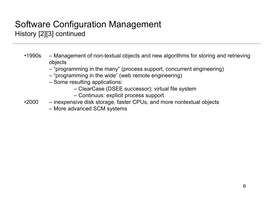#### Software Configuration ManagementHistory [2][3] continued

- •1990s Management of non-textual objects and new algorithms for storing and retrieving objects
	- "programming in the many" (process support, concurrent engineering)<br>"integrative in the wide" (web remate engineering)
	- "programming in the wide" (web remote engineering)
	- Some resulting applications:
		- ClearCase (DSEE successor): virtual file system
		- Continuus: explicit process support
- •2000 inexpensive disk storage, faster CPUs, and more nontextual objects
	- More advanced SCM systems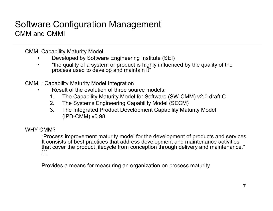#### Software Configuration ManagementCMM and CMMI

CMM: Capability Maturity Model

- •Developed by Software Engineering Institute (SEI)
- •"the quality of a system or product is highly influenced by the quality of the process used to develop and maintain it"

CMMI : Capability Maturity Model Integration

- Result of the evolution of three source models:<br>An activity Meturity Medal for Seftyana •
	- 1. The Capability Maturity Model for Software (SW-CMM) v2.0 draft C<br>2. The Systems Engineering Capability Model (SECM)
	- 2. The Systems Engineering Capability Model (SECM)<br>3. The Integrated Product Development Capability Mat
	- 3. The Integrated Product Development Capability Maturity Model (IPD-CMM) v0.98

WHY CMM?

 "Process improvement maturity model for the development of products and services. It consists of best practices that address development and maintenance activities that cover the product lifecycle from conception through delivery and maintenance." [1]

Provides a means for measuring an organization on process maturity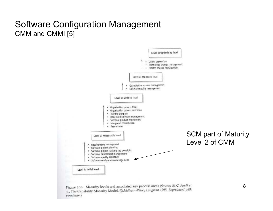#### Software Configuration ManagementCMM and CMMI [5]

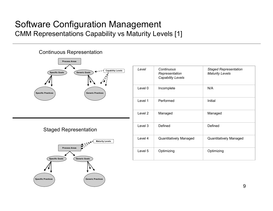#### Software Configuration ManagementCMM Representations Capability vs Maturity Levels [1]



| Level   | Continuous<br>Representation<br><b>Capability Levels</b> | <b>Staged Representation</b><br><b>Maturity Levels</b> |
|---------|----------------------------------------------------------|--------------------------------------------------------|
| Level 0 | Incomplete                                               | N/A                                                    |
| Level 1 | Performed                                                | Initial                                                |
| Level 2 | Managed                                                  | Managed                                                |
| Level 3 | Defined                                                  | Defined                                                |
| Level 4 | Quantitatively Managed                                   | Quantitatively Managed                                 |
| Level 5 | Optimizing                                               | Optimizing                                             |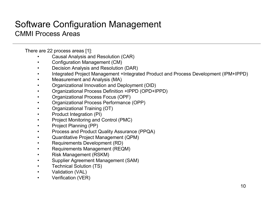#### Software Configuration ManagementCMMI Process Areas

There are 22 process areas [1]:

- Causal Analysis and Resolution (CAR) •
- •Configuration Management (CM)
- •Decision Analysis and Resolution (DAR)
- •Integrated Project Management +Integrated Product and Process Development (IPM+IPPD)
- $\bullet$ Measurement and Analysis (MA)
- •Organizational Innovation and Deployment (OID)
- •Organizational Process Definition +IPPD (OPD+IPPD)
- •Organizational Process Focus (OPF)
- •Organizational Process Performance (OPP)
- •Organizational Training (OT)
- $\bullet$ Product Integration (PI)
- $\bullet$ Project Monitoring and Control (PMC)
- •Project Planning (PP)
- •Process and Product Quality Assurance (PPQA)
- •Quantitative Project Management (QPM)
- •Requirements Development (RD)
- •Requirements Management (REQM)
- •Risk Management (RSKM)
- •Supplier Agreement Management (SAM)
- •Technical Solution (TS)
- •Validation (VAL)
- •Verification (VER)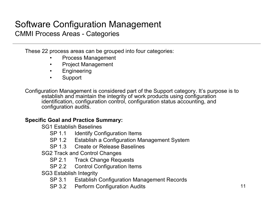#### Software Configuration ManagementCMMI Process Areas - Categories

These 22 process areas can be grouped into four categories:

- •Process Management
- •Project Management
- •**Engineering**
- •Support

Configuration Management is considered part of the Support category. It's purpose is to establish and maintain the integrity of work products using configuration identification, configuration control, configuration status accounting, and configuration audits.

#### Specific Goal and Practice Summary:

SG1 Establish Baselines

- SP 1.1 Identify Configuration Items<br>SP 4.2 Letablish o Configuration M
- SP 1.2 Establish a Configuration Management System
- SP 1.3 Create or Release Baselines

SG2 Track and Control Changes

- SP 2.1 Track Change Requests<br>SP 3.3 Central Canfiguration Its
- SP 2.2 Control Configuration Items

SG3 Establish Integrity

- SP 3.1 Establish Configuration Management Records<br>SP 3.3 Decfarm Configuration Audita
- SP 3.2 Perform Configuration Audits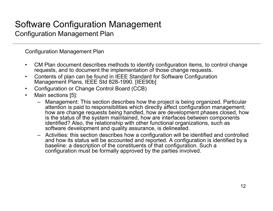## Software Configuration Management

Configuration Management Plan

Configuration Management Plan

- • CM Plan document describes methods to identify configuration items, to control change requests, and to document the implementation of those change requests.
- • Contents of plan can be found in IEEE Standard for Software Configuration Management Plans, IEEE Std 828-1990. [IEE90b]
- $\bullet$ Configuration or Change Control Board (CCB)
- • Main sections [5]:
	- – Management: This section describes how the project is being organized. Particular attention is paid to responsibilities which directly affect configuration management; how are change requests being handled, how are development phases closed, how is the status of the system maintained, how are interfaces between components identified? Also, the relationship with other functional organizations, such as software development and quality assurance, is delineated.
	- Activities: this section describes how a configuration will be identified and controlled and how its status will be accounted and reported. A configuration is identified by a baseline: a description of the constituents of that configuration. Such a configuration must be formally approved by the parties involved.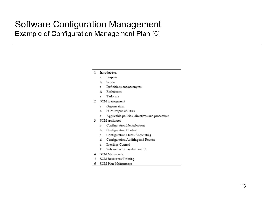#### Software Configuration ManagementExample of Configuration Management Plan [5]

| 1  | Introduction           |                                                |
|----|------------------------|------------------------------------------------|
|    | a.                     | Purpose                                        |
|    |                        | b. Scope                                       |
|    |                        | c. Definitions and acronyms                    |
|    |                        | d. References                                  |
|    |                        | e. Tailoring                                   |
| 2  | SCM management         |                                                |
|    | a.                     | Organization                                   |
|    |                        | b. SCM responsibilities                        |
|    | c.                     | Applicable policies, directives and procedures |
| 3. | <b>SCM</b> Activities  |                                                |
|    | a.                     | Configuration Identification                   |
|    | b.                     | Configuration Control                          |
|    |                        | c. Configuration Status Accounting             |
|    |                        | d. Configuration Auditing and Review           |
|    |                        | e. Interface Control                           |
|    | f                      | Subcontractor/vendor control                   |
| 4  |                        | <b>SCM Milestones</b>                          |
| 5  | SCM Resources/Training |                                                |
| 6  |                        | SCM Plan Maintenance                           |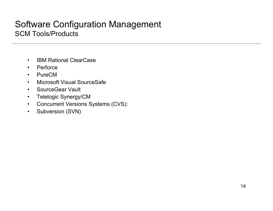#### Software Configuration ManagementSCM Tools/Products

- •IBM Rational ClearCase
- •**Perforce**
- •PureCM
- Microsoft Visual SourceSafe •
- SourceGear Vault
- •Telelogic Synergy/CM
- Concurrent Versions Systems (CVS):
- $\bullet$ Subversion (SVN)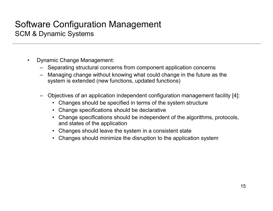#### Software Configuration ManagementSCM & Dynamic Systems

- $\bullet$  Dynamic Change Management:
	- Separating structural concerns from component application concerns
	- Managing change without knowing what could change in the future as the system is extended (now functions, undated functions) system is extended (new functions, updated functions)
	- Objectives of an application independent configuration management facility [4]:
		- •Changes should be specified in terms of the system structure
		- •Change specifications should be declarative
		- • Change specifications should be independent of the algorithms, protocols, and states of the application
		- Changes should leave the system in a consistent state •
		- Changes should minimize the disruption to the application system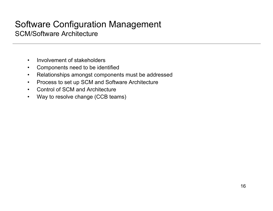#### Software Configuration ManagementSCM/Software Architecture

- $\bullet$ Involvement of stakeholders
- $\bullet$ Components need to be identified
- •Relationships amongst components must be addressed
- $\bullet$ Process to set up SCM and Software Architecture
- $\bullet$ Control of SCM and Architecture
- $\bullet$ Way to resolve change (CCB teams)